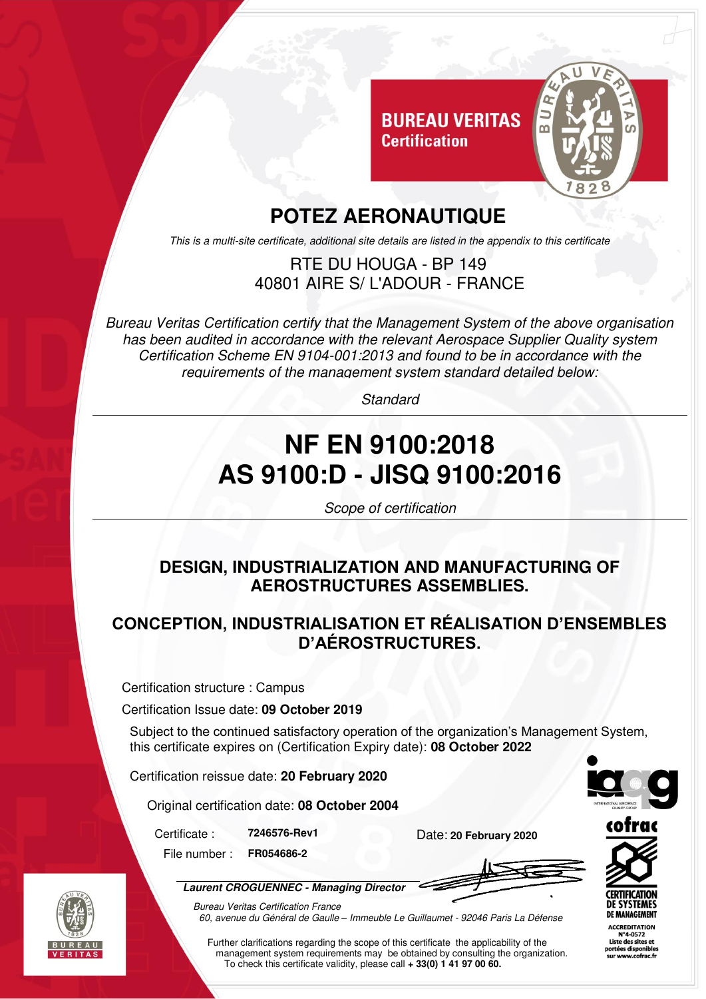

## **POTEZ AERONAUTIQUE**

This is a multi-site certificate, additional site details are listed in the appendix to this certificate

#### RTE DU HOUGA - BP 149 40801 AIRE S/ L'ADOUR - FRANCE

Bureau Veritas Certification certify that the Management System of the above organisation has been audited in accordance with the relevant Aerospace Supplier Quality system Certification Scheme EN 9104-001:2013 and found to be in accordance with the requirements of the management system standard detailed below:

Standard

# **NF EN 9100:2018 AS 9100:D - JISQ 9100:2016**

Scope of certification

#### **DESIGN, INDUSTRIALIZATION AND MANUFACTURING OF AEROSTRUCTURES ASSEMBLIES.**

#### **CONCEPTION, INDUSTRIALISATION ET RÉALISATION D'ENSEMBLES D'AÉROSTRUCTURES.**

Certification structure : Campus

Certification Issue date: **09 October 2019**

Subject to the continued satisfactory operation of the organization's Management System, this certificate expires on (Certification Expiry date): **08 October 2022** 

Certification reissue date: **20 February 2020** 

Original certification date: **08 October 2004** 

Certificate : **7246576-Rev1** Date: **20 February 2020** File number : **FR054686-2**

**Laurent CROGUENNEC - Managing Director**



Further clarifications regarding the scope of this certificate the applicability of the management system requirements may be obtained by consulting the organization. To check this certificate validity, please call **+ 33(0) 1 41 97 00 60.**





**ACCREDITATION** N°4-0572 Liste des sites et